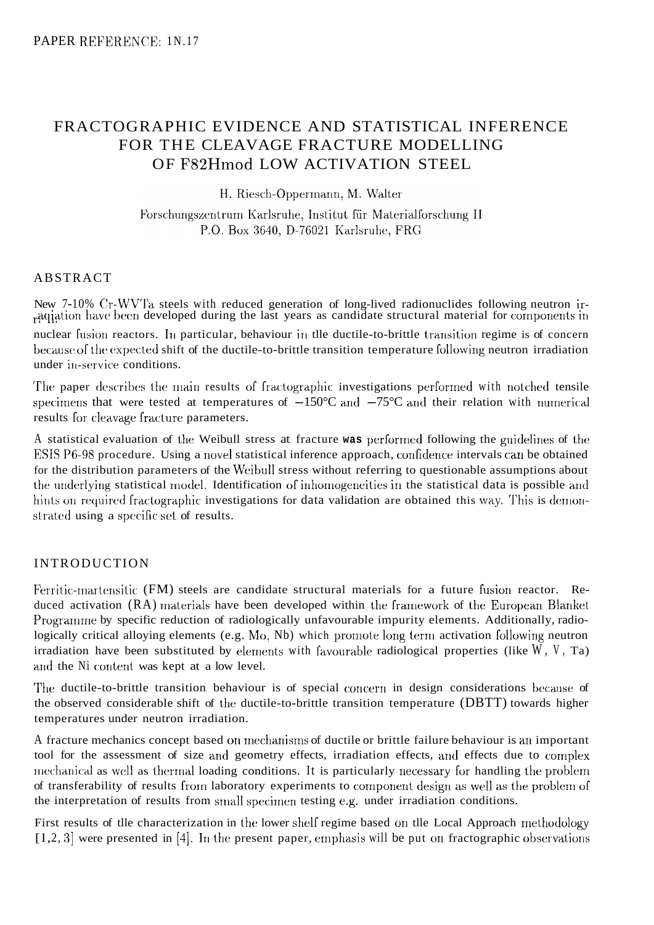# FRACTOGRAPHIC EVIDENCE AND STATISTICAL INFERENCE FOR THE CLEAVAGE FRACTURE MODELLING OF F82Hmod LOW ACTIVATION STEEL

H. Riesch-Oppermann, M. Walter

Forschungszentrum Karlsruhe, Institut für Materialforschung II P.O. Box 3640, D-76021 Karlsruhe, FRG

# ABSTRACT

New 7-10% Cr-WVTa steels with reduced generation of long-lived radionuclides following neutron irnuclear fusion reactors. In particular, behaviour in tlle ductile-to-brittle transition regime is of concern because of the expected shift of the ductile-to-brittle transition temperature following neutron irradiation under in-service conditions. aqiation have been developed during the last years as candidate structural material for components in

The paper describes the main results of fractographic investigations performed with notched tensile specimens that were tested at temperatures of  $-150^{\circ}$ C and  $-75^{\circ}$ C and their relation with numerical results for cleavage fracture parameters.

A statistical evaluation of the Weibull stress at fracture was performed following the guidelines of the ESIS P6-98 procedure. Using a novel statistical inference approach, confidence intervals can be obtained for the distribution parameters of the Weibull stress without referring to questionable assumptions about the underlying statistical model. Identification of inhomogeneities in the statistical data is possible and hints on required fractographic investigations for data validation are obtained this way. This is demonstrated using a specific set of results.

## INTRODUCTION

Ferritic-martensitic (FM) steels are candidate structural materials for a future fusion reactor. Reduced activation (RA) materials have been developed within the framework of the European Blanket Programme by specific reduction of radiologically unfavourable impurity elements. Additionally, radiologically critical alloying elements (e.g. Mo, Nb) which promote long term activation following neutron irradiation have been substituted by elements with favourable radiological properties (like  $W$ ,  $V$ , Ta) and the Ni content was kept at a low level.

The ductile-to-brittle transition behaviour is of special concern in design considerations because of the observed considerable shift of the ductile-to-brittle transition temperature (DBTT) towards higher temperatures under neutron irradiation.

A fracture mechanics concept based on mechanisms of ductile or brittle failure behaviour is an important tool for the assessment of size and geometry effects, irradiation effects, and effects due to complex rrecharical as well as thermal loading conditions. It is particularly necessary for handling the problem of transferability of results from laboratory experiments to component design as well as the problem of the interpretation of results from small specimen testing *e.g.* under irradiation conditions.

First results of tlle characterization in the lower shelf regime based on tlle Local Approach rnethodology  $[1, 2, 3]$  were presented in [4]. In the present paper, emphasis will be put on fractographic observations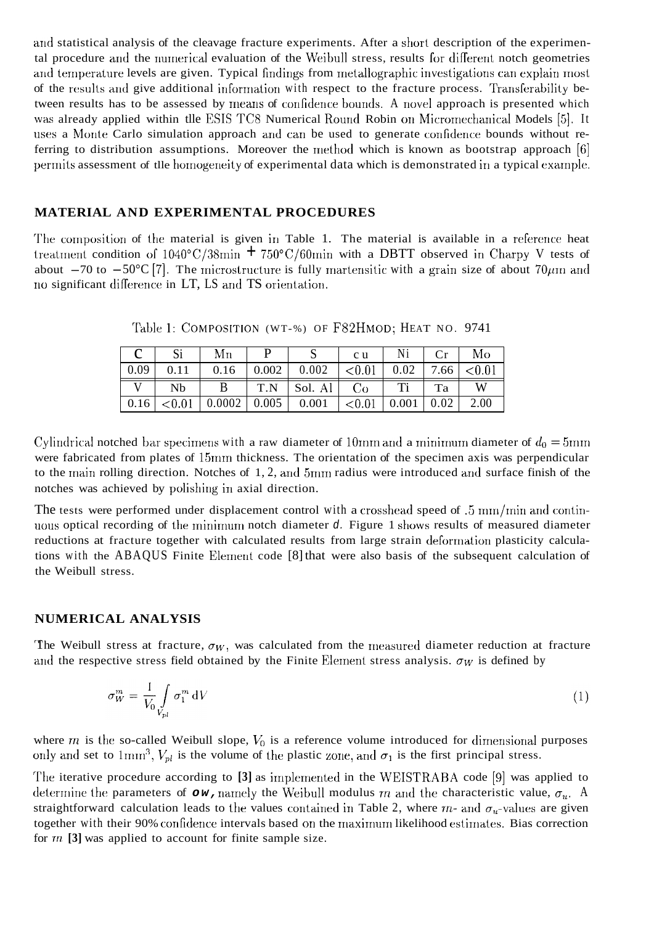and statistical analysis of the cleavage fracture experiments. After a short description of the experimental procedure and the numerical evaluation of the Weibull stress, results for different notch geometries and temperature levels are given. Typical findings from metallographic investigations can explain most of the results and give additional information with respect to the fracture process. Transferability between results has to be assessed by means of confidence bounds. A novel approach is presented which was already applied within the ESIS TC8 Numerical Round Robin on Micromechanical Models [5]. It uses a Monte Carlo simulation approach and can be used to generate confidence bounds without referring to distribution assumptions. Moreover the method which is known as bootstrap approach [6] permits assessment of the homogeneity of experimental data which is demonstrated in a typical example.

### **MATERIAL AND EXPERIMENTAL PROCEDURES**

The composition of the material is given in Table 1. The material is available in a reference heat treatment condition of  $1040^{\circ}$ C/38min +  $750^{\circ}$ C/60min with a DBTT observed in Charpy V tests of about  $-70$  to  $-50^{\circ}$ C [7]. The microstructure is fully martensitic with a grain size of about  $70 \mu$ m and no significant difference in LT, LS and TS orientation.

|      |      | Мn     |       |         | c u    |       |      | Mo        |
|------|------|--------|-------|---------|--------|-------|------|-----------|
| 0.09 | 0.11 | 0.16   | 0.002 | 0.002   | < 0.01 | 0.02  | 7.66 | ${<}0.01$ |
|      | Nb   | B      | T.N   | Sol. Al | Co     | Ti    | Ta   | W         |
| 0.16 |      | 0.0002 | 0.005 | 0.001   | < 0.01 | 0.001 | 0.02 | 2.00      |

Table 1: COMPOSITION (WT-%) OF F82HMOD; HEAT NO. 9741

Cylindrical notched bar specimens with a raw diameter of 10mm and a minimum diameter of  $d_0 = 5$ mm were fabricated from plates of 15mm thickness. The orientation of the specimen axis was perpendicular to the main rolling direction. Notches of  $1, 2$ , and 5mm radius were introduced and surface finish of the notches was achieved by polishing in axial direction.

The tests were performed under displacement control with a crosshead speed of .5 mm/min and continuous optical recording of the minimum notch diameter  $d$ . Figure 1 shows results of measured diameter reductions at fracture together with calculated results from large strain deformation plasticity calculations with the ABAQUS Finite Element code [8] that were also basis of the subsequent calculation of the Weibull stress.

### NUMERICAL ANALYSIS

The Weibull stress at fracture,  $\sigma_W$ , was calculated from the measured diameter reduction at fracture and the respective stress field obtained by the Finite Element stress analysis.  $\sigma_W$  is defined by

$$
\sigma_W^m = \frac{1}{V_0} \int\limits_{V_{pl}} \sigma_1^m \, \mathrm{d}V \tag{1}
$$

where  $m$  is the so-called Weibull slope,  $V_0$  is a reference volume introduced for dimensional purposes only and set to  $1 \text{mm}^3$ ,  $V_{pl}$  is the volume of the plastic zone, and  $\sigma_1$  is the first principal stress.

The iterative procedure according to [3] as implemented in the WEISTRABA code [9] was applied to determine the parameters of  $\sigma w$ , namely the Weibull modulus m and the characteristic value,  $\sigma_u$ . A straightforward calculation leads to the values contained in Table 2, where  $m$ - and  $\sigma_u$ -values are given together with their 90% confidence intervals based on the maximum likelihood estimates. Bias correction for  $m$  [3] was applied to account for finite sample size.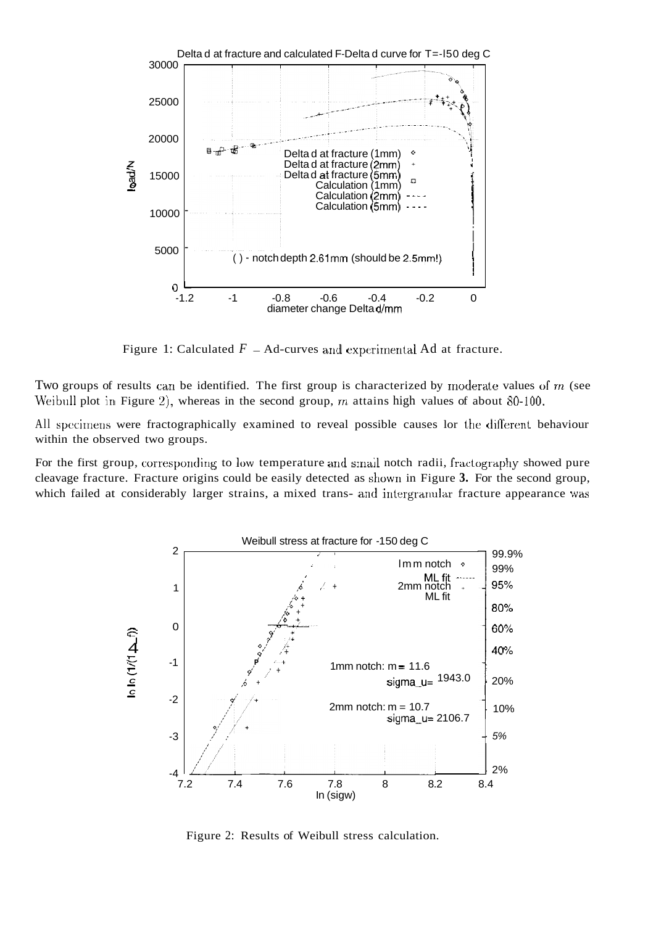

Figure 1: Calculated  $F - Ad$ -curves and experimental Ad at fracture.

Two groups of results can be identified. The first group is characterized by moderate values of m (see Weibull plot in Figure 2)) whereas in the second group, *m* attains high values of about 80-100.

All specimens were fractographically examined to reveal possible causes lor the different behaviour within the observed two groups.

For the first group, corresponding to low temperature and small notch radii, fractography showed pure cleavage fracture. Fracture origins could be easily detected as shown in Figure 3. For the second group, which failed at considerably larger strains, a mixed trans- and intergranular fracture appearance was



Figure 2: Results of Weibull stress calculation.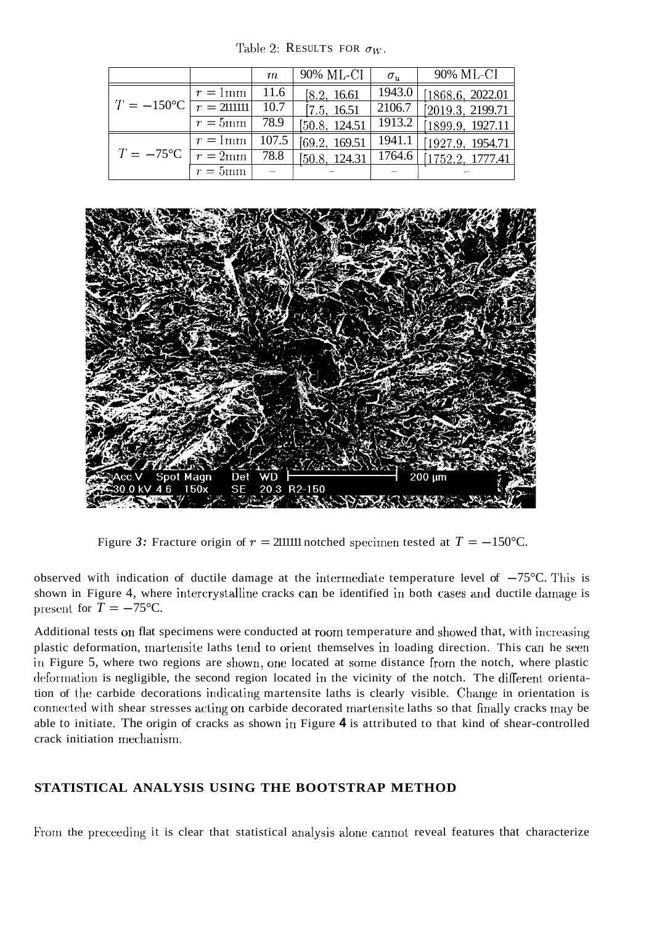Table 2: RESULTS FOR  $\sigma_W$ .

|                                    |                       | m     | 90% ML-CI      | $\sigma_{\rm u}$ | 90% ML-CI         |
|------------------------------------|-----------------------|-------|----------------|------------------|-------------------|
|                                    | $r=1$ mm              | 11.6  | [8.2, 16.61]   | 1943.0           | 1868.6, 2022.01   |
| $T = -150$ °C $\boxed{r = 211111}$ |                       | 10.7  | [7.5, 16.51]   | 2106.7           | 2019.3, 2199.71   |
|                                    | $\overline{r} = 5$ mm | 78.9  | [50.8, 124.51] | 1913.2           | 1899.9, 1927.11   |
|                                    | $r = 1$ mm            | 107.5 | [69.2, 169.51] | 1941.1           | 1927.9, 1954.71   |
| $T = -75$ °C                       | $\overline{r} = 2$ mm | 78.8  | [50.8, 124.31] | 1764.6           | [1752.2, 1777.41] |
|                                    | $r=5$ mm              |       |                |                  |                   |



Figure 3: Fracture origin of  $r = 211111$  notched specimen tested at  $T = -150$ °C.

observed with indication of ductile damage at the intermediate temperature level of  $-75^{\circ}$ C. This is shown in Figure 4, where intercrystalline cracks can be identified in both cases and ductile damage is present for  $T = -75^{\circ}$ C.

Additional tests on flat specimens were conducted at room temperature and showed that, with increasing plastic deformation, martensite laths tend to orient themselves in loading direction. This can be seen in Figure 5, where two regions are shown, one located at some distance from the notch, where plastic deformation is negligible, the second region located in the vicinity of the notch. The different orientation of the carbide decorations indicating martensite laths is clearly visible. Change in orientation is connected with shear stresses acting on carbide decorated martensite laths so that finally cracks may be able to initiate. The origin of cracks as shown in Figure **4** is attributed to that kind of shear-controlled crack initiation mechanism.

## **STATISTICAL ANALYSIS USING THE BOOTSTRAP METHOD**

From the preceeding it is clear that statistical analysis alone cannot reveal features that characterize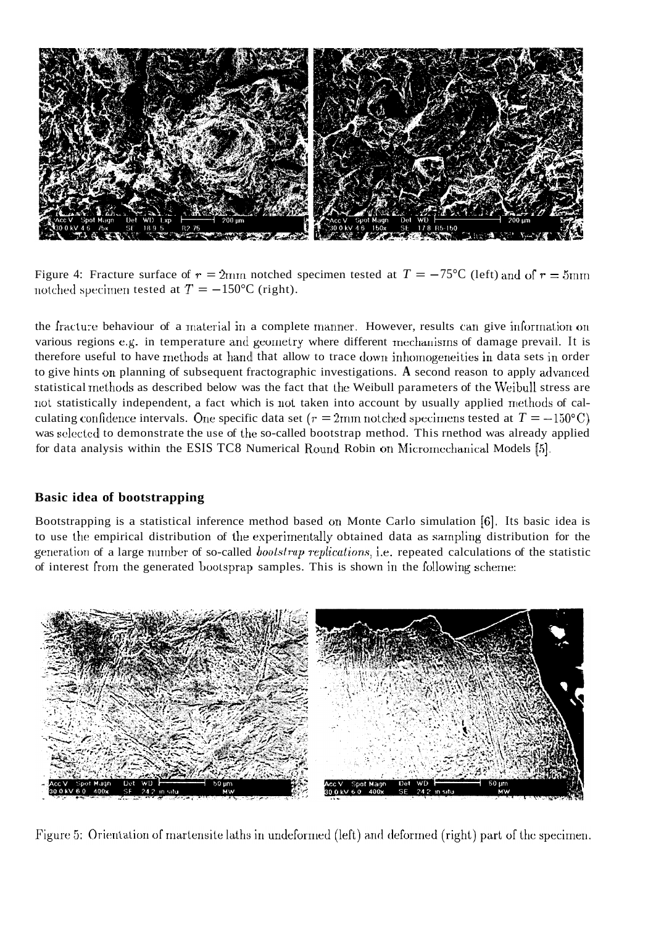

Figure 4: Fracture surface of  $r = 2$ mm notched specimen tested at  $T = -75$ °C (left) and of  $r = 5$ mm notched specimen tested at  $T = -150$ °C (right).

the fracture behaviour of a material in a complete manner. However, results can give information on various regions e.g. in temperature and geometry where different mechanisms of damage prevail. It is therefore useful to have methods at hand that allow to trace down inhomogeneities in data sets in order to give hints on planning of subsequent fractographic investigations. A second reason to apply advanced statistical rnethods as described below was the fact that the Weibull parameters of the Weibull stress are not statistically independent, a fact which is not taken into account by usually applied methods of calculating confidence intervals. One specific data set  $(r = 2 \text{mm}$  notched specimens tested at  $T = -150^{\circ}\text{C}$ ) was selected to demonstrate the use of the so-called bootstrap method. This rnethod was already applied for data analysis within the ESIS TC8 Numerical Round Robin on Micromechanical Models [5].

### **Basic idea of bootstrapping**

Bootstrapping is a statistical inference method based on Monte Carlo simulation *[G].* Its basic idea is to use the empirical distribution of the experimentally obtained data as sampling distribution for the generation of a large number of so-called *bootstrap replications*, *i.e.* repeated calculations of the statistic of interest from the generated bootsprap samples. This is shown in the following scheme:



Figure 5: Orientation of martensite laths in undeformed (left) and deformed (right) part of the specimen.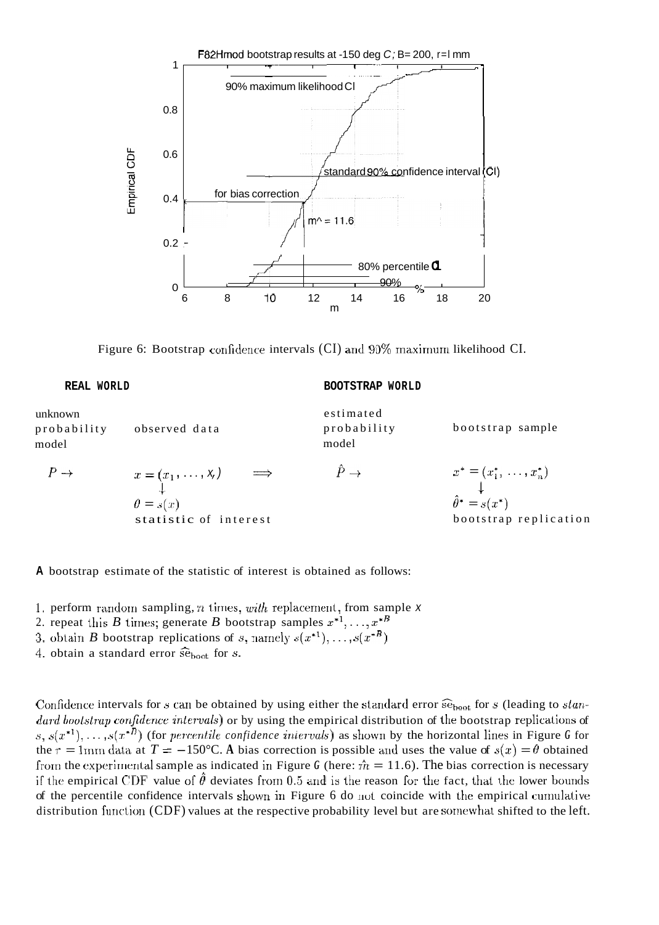

Figure 6: Bootstrap confidence intervals (CI) and  $90\%$  maximum likelihood CI.

| REAL WORLD                      |                                                                               | BOOTSTRAP WORLD                   |                                                                                      |  |  |
|---------------------------------|-------------------------------------------------------------------------------|-----------------------------------|--------------------------------------------------------------------------------------|--|--|
| unknown<br>probability<br>model | observed data                                                                 | estimated<br>probability<br>model | bootstrap sample                                                                     |  |  |
| $P \rightarrow$                 | $x = (x_1, \ldots, x_n) \implies$<br>$\theta = s(x)$<br>statistic of interest | $\hat{P} \rightarrow$             | $x^* = (x_1^*, \ldots, x_n^*)$<br>$\hat{\theta}^* = s(x^*)$<br>bootstrap replication |  |  |

**A** bootstrap estimate of the statistic of interest is obtained as follows:

- 1. perform random sampling, *n* times, *with* replacement, from sample *x*
- 2. repeat this *B* times; generate *B* bootstrap samples  $x^{*1}, \ldots, x^{*B}$
- 3. obtain *B* bootstrap replications of *s*, namely  $s(x^{*1}), \ldots, s(x^{*B})$
- 4. obtain a standard error  $\widehat{\text{se}}_{\text{boot}}$  for *s*.

Confidence intervals for *s* can be obtained by using either the standard error  $\widehat{\text{se}}_{\text{boot}}$  for *s* (leading to *slandard bootstrap confidence intervals*) or by using the empirical distribution of the bootstrap replications of  $s, s(x^{*1}), \ldots, s(x^{*B})$  (for *percentile confidence intervals*) as shown by the horizontal lines in Figure *G* for the  $r = 1$ mm data at  $T = -150$ °C. A bias correction is possible and uses the value of  $s(x) = \theta$  obtained from the experimental sample as indicated in Figure *G* (here:  $\hat{m} = 11.6$ ). The bias correction is necessary if the empirical CDF value of  $\ddot{\theta}$  deviates from 0.5 and is the reason for the fact, that the lower bounds of the percentile confidence intervals shown in Figure 6 do not coincide with the empirical currlulative distribution function  $(CDF)$  values at the respective probability level but are somewhat shifted to the left.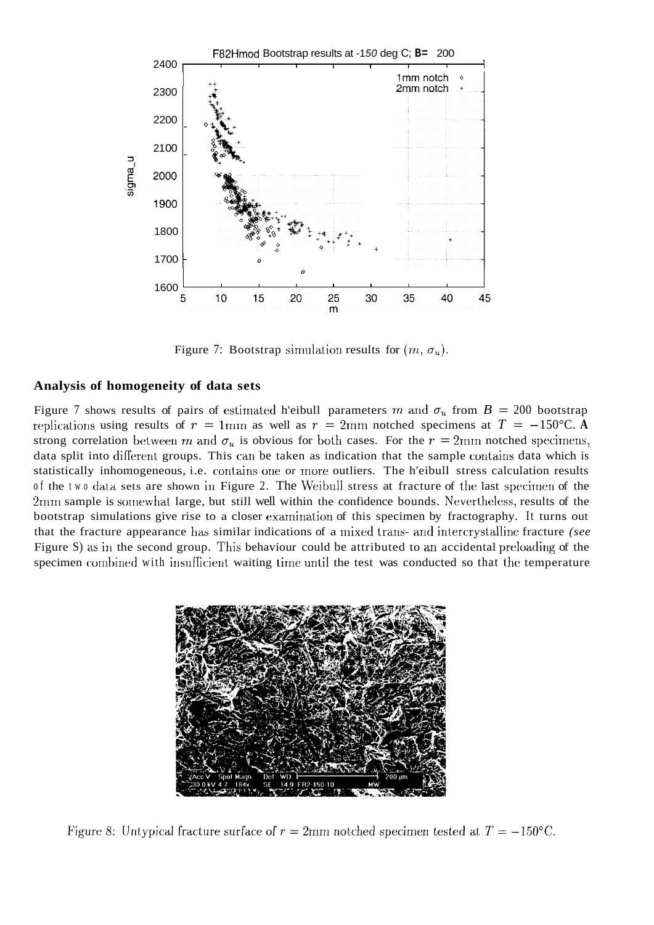

Figure 7: Bootstrap simulation results for  $(m, \sigma_u)$ .

#### **Analysis of homogeneity of data sets**

Figure 7 shows results of pairs of estimated h'eibull parameters *m* and  $\sigma_u$  from  $B = 200$  bootstrap replications using results of  $r = 1$ mm as well as  $r = 2$ mm notched specimens at  $T = -150$ °C. A strong correlation between *m* and  $\sigma_u$  is obvious for both cases. For the  $r = 2$ mm notched specimens, data split into difierent groups. This can be taken as indication that the sample contains data which is statistically inhomogeneous, i.e. contains one or more outliers. The h'eibull stress calculation results of the two data sets are shown in Figure 2. The Weibull stress at fracture of the last specimen of the 2mm sample is somewhat large, but still well within the confidence bounds. Nevertheless, results of the bootstrap simulations give rise to a closer examination of this specimen by fractography. It turns out that the fracture appearance has similar indications of a mixed trans- and intercrystalline fracture *(see*  Figure S) as in the second group. This behaviour could be attributed to an accidental preloading of the specimen combined with insufficient waiting time until the test was conducted so that the temperature